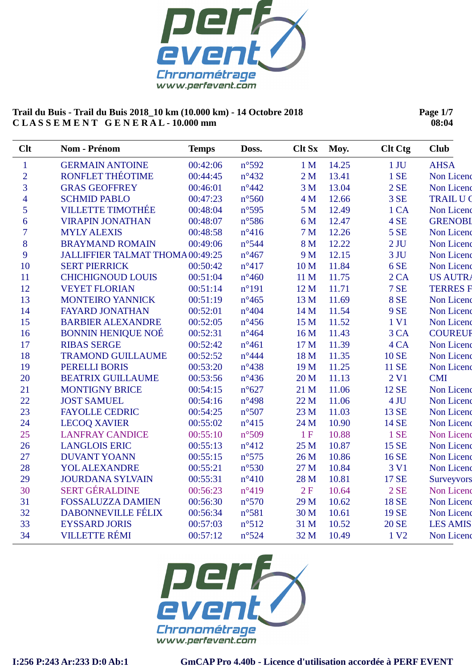

**Page 1/7 08:04**

| Clt            | Nom - Prénom                     | <b>Temps</b> | Doss.           | <b>Clt Sx</b>   | Moy.  | <b>Clt Ctg</b>   | <b>Club</b>     |
|----------------|----------------------------------|--------------|-----------------|-----------------|-------|------------------|-----------------|
| $\mathbf{1}$   | <b>GERMAIN ANTOINE</b>           | 00:42:06     | n°592           | 1 <sub>M</sub>  | 14.25 | $1$ JU           | <b>AHSA</b>     |
| $\overline{2}$ | RONFLET THÉOTIME                 | 00:44:45     | $n^{\circ}432$  | 2 <sub>M</sub>  | 13.41 | 1 SE             | Non Licenc      |
| 3              | <b>GRAS GEOFFREY</b>             | 00:46:01     | $n^{\circ}442$  | 3 <sub>M</sub>  | 13.04 | 2SE              | Non Licenc      |
| $\overline{4}$ | <b>SCHMID PABLO</b>              | 00:47:23     | $n^{\circ}$ 560 | 4 M             | 12.66 | 3 SE             | <b>TRAILU C</b> |
| 5              | <b>VILLETTE TIMOTHÉE</b>         | 00:48:04     | $n^{\circ}595$  | 5 <sub>M</sub>  | 12.49 | 1 CA             | Non Licenc      |
| 6              | <b>VIRAPIN JONATHAN</b>          | 00:48:07     | $n^{\circ}$ 586 | 6 M             | 12.47 | 4 SE             | <b>GRENOBI</b>  |
| $\overline{7}$ | <b>MYLY ALEXIS</b>               | 00:48:58     | $n^{\circ}416$  | 7 <sub>M</sub>  | 12.26 | <b>5 SE</b>      | Non Licenc      |
| 8              | <b>BRAYMAND ROMAIN</b>           | 00:49:06     | $n^{\circ}$ 544 | 8 M             | 12.22 | $2$ JU           | Non Licenc      |
| 9              | JALLIFFIER TALMAT THOMA 00:49:25 |              | $n^{\circ}467$  | 9 M             | 12.15 | 3 JU             | Non Licenc      |
| 10             | <b>SERT PIERRICK</b>             | 00:50:42     | $n^{\circ}417$  | 10 <sub>M</sub> | 11.84 | 6 SE             | Non Licenc      |
| 11             | <b>CHICHIGNOUD LOUIS</b>         | 00:51:04     | $n^{\circ}460$  | 11 M            | 11.75 | 2 CA             | <b>US AUTRA</b> |
| 12             | <b>VEYET FLORIAN</b>             | 00:51:14     | $n^{\circ}191$  | 12 M            | 11.71 | 7 SE             | <b>TERRES F</b> |
| 13             | <b>MONTEIRO YANNICK</b>          | 00:51:19     | $n^{\circ}465$  | 13 M            | 11.69 | <b>8 SE</b>      | Non Licenc      |
| 14             | <b>FAYARD JONATHAN</b>           | 00:52:01     | $n^{\circ}404$  | 14 M            | 11.54 | <b>9 SE</b>      | Non Licenc      |
| 15             | <b>BARBIER ALEXANDRE</b>         | 00:52:05     | $n^{\circ}$ 456 | 15 M            | 11.52 | 1 V1             | Non Licenc      |
| 16             | <b>BONNIN HENIQUE NOÉ</b>        | 00:52:31     | $n^{\circ}464$  | 16 M            | 11.43 | 3 CA             | <b>COUREUR</b>  |
| 17             | <b>RIBAS SERGE</b>               | 00:52:42     | $n^{\circ}461$  | 17 M            | 11.39 | 4 CA             | Non Licenc      |
| 18             | <b>TRAMOND GUILLAUME</b>         | 00:52:52     | $n^{\circ}444$  | 18 M            | 11.35 | <b>10 SE</b>     | Non Licenc      |
| 19             | PERELLI BORIS                    | 00:53:20     | $n^{\circ}438$  | 19 M            | 11.25 | <b>11 SE</b>     | Non Licenc      |
| 20             | <b>BEATRIX GUILLAUME</b>         | 00:53:56     | $n^{\circ}436$  | 20 <sub>M</sub> | 11.13 | 2 <sub>VI</sub>  | <b>CMI</b>      |
| 21             | <b>MONTIGNY BRICE</b>            | 00:54:15     | $n^{\circ}627$  | 21 M            | 11.06 | 12 SE            | Non Licenc      |
| 22             | <b>JOST SAMUEL</b>               | 00:54:16     | $n^{\circ}498$  | 22 M            | 11.06 | 4 JU             | Non Licenc      |
| 23             | <b>FAYOLLE CEDRIC</b>            | 00:54:25     | $n^{\circ}507$  | 23 M            | 11.03 | 13 SE            | Non Licenc      |
| 24             | <b>LECOQ XAVIER</b>              | 00:55:02     | $n^{\circ}415$  | 24 M            | 10.90 | 14 SE            | Non Licenc      |
| 25             | <b>LANFRAY CANDICE</b>           | 00:55:10     | n°509           | 1F              | 10.88 | 1 SE             | Non Licenc      |
| 26             | <b>LANGLOIS ERIC</b>             | 00:55:13     | $n^{\circ}412$  | 25 M            | 10.87 | 15 SE            | Non Licenc      |
| 27             | <b>DUVANT YOANN</b>              | 00:55:15     | $n^{\circ}575$  | 26 M            | 10.86 | 16 SE            | Non Licenc      |
| 28             | <b>YOL ALEXANDRE</b>             | 00:55:21     | $n^{\circ}530$  | 27 M            | 10.84 | 3 V1             | Non Licenc      |
| 29             | <b>JOURDANA SYLVAIN</b>          | 00:55:31     | $n^{\circ}410$  | 28 M            | 10.81 | 17 SE            | Surveyvors      |
| 30             | <b>SERT GÉRALDINE</b>            | 00:56:23     | $n^{\circ}419$  | 2F              | 10.64 | 2SE              | Non Licenc      |
| 31             | <b>FOSSALUZZA DAMIEN</b>         | 00:56:30     | $n^{\circ}570$  | 29 M            | 10.62 | <b>18 SE</b>     | Non Licenc      |
| 32             | <b>DABONNEVILLE FÉLIX</b>        | 00:56:34     | $n^{\circ}581$  | 30 M            | 10.61 | <b>19 SE</b>     | Non Licenc      |
| 33             | <b>EYSSARD JORIS</b>             | 00:57:03     | n°512           | 31 M            | 10.52 | <b>20 SE</b>     | <b>LES AMIS</b> |
| 34             | <b>VILLETTE RÉMI</b>             | 00:57:12     | $n^{\circ}524$  | 32 M            | 10.49 | 1 V <sub>2</sub> | Non Licenc      |

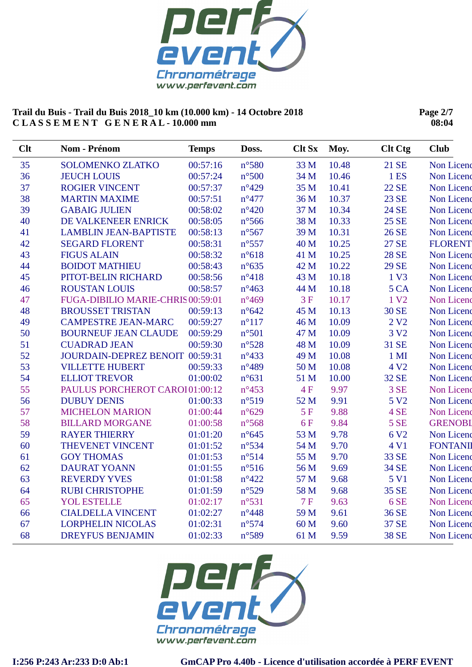

**Page 2/7 08:04**

| 35<br>33 M<br>10.48<br><b>SOLOMENKO ZLATKO</b><br>00:57:16<br>$n^{\circ}580$<br>21 SE<br>36<br><b>JEUCH LOUIS</b><br>00:57:24<br>$n^{\circ}500$<br>34 M<br>10.46<br>1 ES<br>37<br>$n^{\circ}429$<br>35 M<br>22 SE<br><b>ROGIER VINCENT</b><br>00:57:37<br>10.41<br>38<br><b>MARTIN MAXIME</b><br>00:57:51<br>$n^{\circ}477$<br>36 M<br>10.37<br>23 SE<br>39<br>$n^{\circ}420$<br>10.34<br><b>GABAIG JULIEN</b><br>00:58:02<br>37 M<br><b>24 SE</b><br>40<br>DE VALKENEER ENRICK<br>00:58:05<br>$n^{\circ}$ 566<br>38 M<br>10.33<br>25 SE<br>10.31<br>41<br><b>LAMBLIN JEAN-BAPTISTE</b><br>00:58:13<br>$n^{\circ}567$<br>39 M<br>26 SE<br>42<br>10.25<br><b>SEGARD FLORENT</b><br>00:58:31<br>$n^{\circ}$ 557<br>40 M<br>27 SE<br>43<br><b>FIGUS ALAIN</b><br>00:58:32<br>$n^{\circ}618$<br>10.25<br><b>28 SE</b><br>41 M<br>44<br><b>BOIDOT MATHIEU</b><br>10.22<br><b>29 SE</b><br>00:58:43<br>$n^{\circ}635$<br>42 M<br>45<br>PITOT-BELIN RICHARD<br>$n^{\circ}418$<br>10.18<br>00:58:56<br>43 M<br>1 V3<br>46<br><b>ROUSTAN LOUIS</b><br>00:58:57<br>$n^{\circ}463$<br>10.18<br>5 CA<br>44 M<br>47<br>3F<br>1 V <sub>2</sub><br>FUGA-DIBILIO MARIE-CHRIS 00:59:01<br>$n^{\circ}469$<br>10.17<br>48<br><b>BROUSSET TRISTAN</b><br>00:59:13<br>$n^{\circ}642$<br>45 M<br><b>30 SE</b><br>10.13<br>49<br><b>CAMPESTRE JEAN-MARC</b><br>$n^{\circ}117$<br>2 V <sub>2</sub><br>00:59:27<br>46 M<br>10.09<br>50<br>$n^{\circ}501$<br>3 V <sub>2</sub><br><b>BOURNEUF JEAN CLAUDE</b><br>00:59:29<br>47 M<br>10.09<br>51<br><b>CUADRAD JEAN</b><br>00:59:30<br>$n^{\circ}528$<br>48 M<br>10.09<br>31 SE<br>52<br>JOURDAIN-DEPREZ BENOIT 00:59:31<br>10.08<br>$n^{\circ}433$<br>49 M<br>$1$ MI<br>53<br><b>VILLETTE HUBERT</b><br>$n^{\circ}489$<br>10.08<br>00:59:33<br>50 M<br>4 V <sub>2</sub><br>54<br><b>ELLIOT TREVOR</b><br>32 SE<br>01:00:02<br>$n^{\circ}631$<br>51 M<br>10.00<br>55<br>PAULUS PORCHEROT CAROI01:00:12<br>9.97<br>3 SE<br>$n^{\circ}453$<br>4F<br>56<br>n°519<br>9.91<br><b>DUBUY DENIS</b><br>52 M<br>5 V <sub>2</sub><br>01:00:33<br>57<br>5F<br>9.88<br>4 SE<br><b>MICHELON MARION</b><br>01:00:44<br>$n^{\circ}629$<br>58<br>9.84<br>$n^{\circ}$ 568<br>6F<br><b>5 SE</b><br><b>BILLARD MORGANE</b><br>01:00:58<br>59<br>9.78<br><b>RAYER THIERRY</b><br>01:01:20<br>$n^{\circ}645$<br>53 M<br>6 V <sub>2</sub><br>9.70<br>60<br>THEVENET VINCENT<br>$n^{\circ}$ 534<br>54 M<br>4 V1<br>01:01:52<br>n°514<br>9.70<br><b>GOY THOMAS</b><br>55 M<br>33 SE<br>61<br>01:01:53<br><b>DAURAT YOANN</b><br>$n^{\circ}516$<br>9.69<br>62<br>01:01:55<br>56 M<br><b>34 SE</b><br>63<br><b>REVERDY YVES</b><br>$n^{\circ}422$<br>9.68<br>01:01:58<br>57 M<br>5 V1<br>64<br><b>RUBI CHRISTOPHE</b><br>$n^{\circ}529$<br>58 M<br>9.68<br>35 SE<br>01:01:59<br>$n^{\circ}531$<br>65<br><b>YOL ESTELLE</b><br>01:02:17<br>7F<br>9.63<br>6 SE<br><b>CIALDELLA VINCENT</b><br>01:02:27<br>$n^{\circ}448$<br>9.61<br>36 SE<br>66<br>59 M<br>67<br><b>LORPHELIN NICOLAS</b><br>01:02:31<br>$n^{\circ}574$<br>9.60<br>37 SE<br>60 M | Clt | Nom - Prénom            | <b>Temps</b> | Doss.          | <b>Clt Sx</b> | Moy. | <b>Clt Ctg</b> | <b>Club</b>     |
|-------------------------------------------------------------------------------------------------------------------------------------------------------------------------------------------------------------------------------------------------------------------------------------------------------------------------------------------------------------------------------------------------------------------------------------------------------------------------------------------------------------------------------------------------------------------------------------------------------------------------------------------------------------------------------------------------------------------------------------------------------------------------------------------------------------------------------------------------------------------------------------------------------------------------------------------------------------------------------------------------------------------------------------------------------------------------------------------------------------------------------------------------------------------------------------------------------------------------------------------------------------------------------------------------------------------------------------------------------------------------------------------------------------------------------------------------------------------------------------------------------------------------------------------------------------------------------------------------------------------------------------------------------------------------------------------------------------------------------------------------------------------------------------------------------------------------------------------------------------------------------------------------------------------------------------------------------------------------------------------------------------------------------------------------------------------------------------------------------------------------------------------------------------------------------------------------------------------------------------------------------------------------------------------------------------------------------------------------------------------------------------------------------------------------------------------------------------------------------------------------------------------------------------------------------------------------------------------------------------------------------------------------------------------------------------------------------------------------------------------------------------------------------------------------------------------------------------------------------------------------------------------------------------------------------------------------------------------------------------------------------------------------------------------|-----|-------------------------|--------------|----------------|---------------|------|----------------|-----------------|
|                                                                                                                                                                                                                                                                                                                                                                                                                                                                                                                                                                                                                                                                                                                                                                                                                                                                                                                                                                                                                                                                                                                                                                                                                                                                                                                                                                                                                                                                                                                                                                                                                                                                                                                                                                                                                                                                                                                                                                                                                                                                                                                                                                                                                                                                                                                                                                                                                                                                                                                                                                                                                                                                                                                                                                                                                                                                                                                                                                                                                                           |     |                         |              |                |               |      |                | Non Licenc      |
|                                                                                                                                                                                                                                                                                                                                                                                                                                                                                                                                                                                                                                                                                                                                                                                                                                                                                                                                                                                                                                                                                                                                                                                                                                                                                                                                                                                                                                                                                                                                                                                                                                                                                                                                                                                                                                                                                                                                                                                                                                                                                                                                                                                                                                                                                                                                                                                                                                                                                                                                                                                                                                                                                                                                                                                                                                                                                                                                                                                                                                           |     |                         |              |                |               |      |                | Non Licenc      |
|                                                                                                                                                                                                                                                                                                                                                                                                                                                                                                                                                                                                                                                                                                                                                                                                                                                                                                                                                                                                                                                                                                                                                                                                                                                                                                                                                                                                                                                                                                                                                                                                                                                                                                                                                                                                                                                                                                                                                                                                                                                                                                                                                                                                                                                                                                                                                                                                                                                                                                                                                                                                                                                                                                                                                                                                                                                                                                                                                                                                                                           |     |                         |              |                |               |      |                | Non Licenc      |
|                                                                                                                                                                                                                                                                                                                                                                                                                                                                                                                                                                                                                                                                                                                                                                                                                                                                                                                                                                                                                                                                                                                                                                                                                                                                                                                                                                                                                                                                                                                                                                                                                                                                                                                                                                                                                                                                                                                                                                                                                                                                                                                                                                                                                                                                                                                                                                                                                                                                                                                                                                                                                                                                                                                                                                                                                                                                                                                                                                                                                                           |     |                         |              |                |               |      |                | Non Licenc      |
|                                                                                                                                                                                                                                                                                                                                                                                                                                                                                                                                                                                                                                                                                                                                                                                                                                                                                                                                                                                                                                                                                                                                                                                                                                                                                                                                                                                                                                                                                                                                                                                                                                                                                                                                                                                                                                                                                                                                                                                                                                                                                                                                                                                                                                                                                                                                                                                                                                                                                                                                                                                                                                                                                                                                                                                                                                                                                                                                                                                                                                           |     |                         |              |                |               |      |                | Non Licenc      |
|                                                                                                                                                                                                                                                                                                                                                                                                                                                                                                                                                                                                                                                                                                                                                                                                                                                                                                                                                                                                                                                                                                                                                                                                                                                                                                                                                                                                                                                                                                                                                                                                                                                                                                                                                                                                                                                                                                                                                                                                                                                                                                                                                                                                                                                                                                                                                                                                                                                                                                                                                                                                                                                                                                                                                                                                                                                                                                                                                                                                                                           |     |                         |              |                |               |      |                | Non Licenc      |
|                                                                                                                                                                                                                                                                                                                                                                                                                                                                                                                                                                                                                                                                                                                                                                                                                                                                                                                                                                                                                                                                                                                                                                                                                                                                                                                                                                                                                                                                                                                                                                                                                                                                                                                                                                                                                                                                                                                                                                                                                                                                                                                                                                                                                                                                                                                                                                                                                                                                                                                                                                                                                                                                                                                                                                                                                                                                                                                                                                                                                                           |     |                         |              |                |               |      |                | Non Licenc      |
|                                                                                                                                                                                                                                                                                                                                                                                                                                                                                                                                                                                                                                                                                                                                                                                                                                                                                                                                                                                                                                                                                                                                                                                                                                                                                                                                                                                                                                                                                                                                                                                                                                                                                                                                                                                                                                                                                                                                                                                                                                                                                                                                                                                                                                                                                                                                                                                                                                                                                                                                                                                                                                                                                                                                                                                                                                                                                                                                                                                                                                           |     |                         |              |                |               |      |                | <b>FLORENT</b>  |
|                                                                                                                                                                                                                                                                                                                                                                                                                                                                                                                                                                                                                                                                                                                                                                                                                                                                                                                                                                                                                                                                                                                                                                                                                                                                                                                                                                                                                                                                                                                                                                                                                                                                                                                                                                                                                                                                                                                                                                                                                                                                                                                                                                                                                                                                                                                                                                                                                                                                                                                                                                                                                                                                                                                                                                                                                                                                                                                                                                                                                                           |     |                         |              |                |               |      |                | Non Licenc      |
|                                                                                                                                                                                                                                                                                                                                                                                                                                                                                                                                                                                                                                                                                                                                                                                                                                                                                                                                                                                                                                                                                                                                                                                                                                                                                                                                                                                                                                                                                                                                                                                                                                                                                                                                                                                                                                                                                                                                                                                                                                                                                                                                                                                                                                                                                                                                                                                                                                                                                                                                                                                                                                                                                                                                                                                                                                                                                                                                                                                                                                           |     |                         |              |                |               |      |                | Non Licenc      |
|                                                                                                                                                                                                                                                                                                                                                                                                                                                                                                                                                                                                                                                                                                                                                                                                                                                                                                                                                                                                                                                                                                                                                                                                                                                                                                                                                                                                                                                                                                                                                                                                                                                                                                                                                                                                                                                                                                                                                                                                                                                                                                                                                                                                                                                                                                                                                                                                                                                                                                                                                                                                                                                                                                                                                                                                                                                                                                                                                                                                                                           |     |                         |              |                |               |      |                | Non Licenc      |
|                                                                                                                                                                                                                                                                                                                                                                                                                                                                                                                                                                                                                                                                                                                                                                                                                                                                                                                                                                                                                                                                                                                                                                                                                                                                                                                                                                                                                                                                                                                                                                                                                                                                                                                                                                                                                                                                                                                                                                                                                                                                                                                                                                                                                                                                                                                                                                                                                                                                                                                                                                                                                                                                                                                                                                                                                                                                                                                                                                                                                                           |     |                         |              |                |               |      |                | Non Licenc      |
|                                                                                                                                                                                                                                                                                                                                                                                                                                                                                                                                                                                                                                                                                                                                                                                                                                                                                                                                                                                                                                                                                                                                                                                                                                                                                                                                                                                                                                                                                                                                                                                                                                                                                                                                                                                                                                                                                                                                                                                                                                                                                                                                                                                                                                                                                                                                                                                                                                                                                                                                                                                                                                                                                                                                                                                                                                                                                                                                                                                                                                           |     |                         |              |                |               |      |                | Non Licenc      |
|                                                                                                                                                                                                                                                                                                                                                                                                                                                                                                                                                                                                                                                                                                                                                                                                                                                                                                                                                                                                                                                                                                                                                                                                                                                                                                                                                                                                                                                                                                                                                                                                                                                                                                                                                                                                                                                                                                                                                                                                                                                                                                                                                                                                                                                                                                                                                                                                                                                                                                                                                                                                                                                                                                                                                                                                                                                                                                                                                                                                                                           |     |                         |              |                |               |      |                | Non Licenc      |
|                                                                                                                                                                                                                                                                                                                                                                                                                                                                                                                                                                                                                                                                                                                                                                                                                                                                                                                                                                                                                                                                                                                                                                                                                                                                                                                                                                                                                                                                                                                                                                                                                                                                                                                                                                                                                                                                                                                                                                                                                                                                                                                                                                                                                                                                                                                                                                                                                                                                                                                                                                                                                                                                                                                                                                                                                                                                                                                                                                                                                                           |     |                         |              |                |               |      |                | Non Licenc      |
|                                                                                                                                                                                                                                                                                                                                                                                                                                                                                                                                                                                                                                                                                                                                                                                                                                                                                                                                                                                                                                                                                                                                                                                                                                                                                                                                                                                                                                                                                                                                                                                                                                                                                                                                                                                                                                                                                                                                                                                                                                                                                                                                                                                                                                                                                                                                                                                                                                                                                                                                                                                                                                                                                                                                                                                                                                                                                                                                                                                                                                           |     |                         |              |                |               |      |                | Non Licenc      |
|                                                                                                                                                                                                                                                                                                                                                                                                                                                                                                                                                                                                                                                                                                                                                                                                                                                                                                                                                                                                                                                                                                                                                                                                                                                                                                                                                                                                                                                                                                                                                                                                                                                                                                                                                                                                                                                                                                                                                                                                                                                                                                                                                                                                                                                                                                                                                                                                                                                                                                                                                                                                                                                                                                                                                                                                                                                                                                                                                                                                                                           |     |                         |              |                |               |      |                | Non Licenc      |
|                                                                                                                                                                                                                                                                                                                                                                                                                                                                                                                                                                                                                                                                                                                                                                                                                                                                                                                                                                                                                                                                                                                                                                                                                                                                                                                                                                                                                                                                                                                                                                                                                                                                                                                                                                                                                                                                                                                                                                                                                                                                                                                                                                                                                                                                                                                                                                                                                                                                                                                                                                                                                                                                                                                                                                                                                                                                                                                                                                                                                                           |     |                         |              |                |               |      |                | Non Licenc      |
|                                                                                                                                                                                                                                                                                                                                                                                                                                                                                                                                                                                                                                                                                                                                                                                                                                                                                                                                                                                                                                                                                                                                                                                                                                                                                                                                                                                                                                                                                                                                                                                                                                                                                                                                                                                                                                                                                                                                                                                                                                                                                                                                                                                                                                                                                                                                                                                                                                                                                                                                                                                                                                                                                                                                                                                                                                                                                                                                                                                                                                           |     |                         |              |                |               |      |                | Non Licenc      |
|                                                                                                                                                                                                                                                                                                                                                                                                                                                                                                                                                                                                                                                                                                                                                                                                                                                                                                                                                                                                                                                                                                                                                                                                                                                                                                                                                                                                                                                                                                                                                                                                                                                                                                                                                                                                                                                                                                                                                                                                                                                                                                                                                                                                                                                                                                                                                                                                                                                                                                                                                                                                                                                                                                                                                                                                                                                                                                                                                                                                                                           |     |                         |              |                |               |      |                | Non Licenc      |
|                                                                                                                                                                                                                                                                                                                                                                                                                                                                                                                                                                                                                                                                                                                                                                                                                                                                                                                                                                                                                                                                                                                                                                                                                                                                                                                                                                                                                                                                                                                                                                                                                                                                                                                                                                                                                                                                                                                                                                                                                                                                                                                                                                                                                                                                                                                                                                                                                                                                                                                                                                                                                                                                                                                                                                                                                                                                                                                                                                                                                                           |     |                         |              |                |               |      |                | Non Licenc      |
|                                                                                                                                                                                                                                                                                                                                                                                                                                                                                                                                                                                                                                                                                                                                                                                                                                                                                                                                                                                                                                                                                                                                                                                                                                                                                                                                                                                                                                                                                                                                                                                                                                                                                                                                                                                                                                                                                                                                                                                                                                                                                                                                                                                                                                                                                                                                                                                                                                                                                                                                                                                                                                                                                                                                                                                                                                                                                                                                                                                                                                           |     |                         |              |                |               |      |                | Non Licenc      |
|                                                                                                                                                                                                                                                                                                                                                                                                                                                                                                                                                                                                                                                                                                                                                                                                                                                                                                                                                                                                                                                                                                                                                                                                                                                                                                                                                                                                                                                                                                                                                                                                                                                                                                                                                                                                                                                                                                                                                                                                                                                                                                                                                                                                                                                                                                                                                                                                                                                                                                                                                                                                                                                                                                                                                                                                                                                                                                                                                                                                                                           |     |                         |              |                |               |      |                | Non Licenc      |
|                                                                                                                                                                                                                                                                                                                                                                                                                                                                                                                                                                                                                                                                                                                                                                                                                                                                                                                                                                                                                                                                                                                                                                                                                                                                                                                                                                                                                                                                                                                                                                                                                                                                                                                                                                                                                                                                                                                                                                                                                                                                                                                                                                                                                                                                                                                                                                                                                                                                                                                                                                                                                                                                                                                                                                                                                                                                                                                                                                                                                                           |     |                         |              |                |               |      |                | <b>GRENOBI</b>  |
|                                                                                                                                                                                                                                                                                                                                                                                                                                                                                                                                                                                                                                                                                                                                                                                                                                                                                                                                                                                                                                                                                                                                                                                                                                                                                                                                                                                                                                                                                                                                                                                                                                                                                                                                                                                                                                                                                                                                                                                                                                                                                                                                                                                                                                                                                                                                                                                                                                                                                                                                                                                                                                                                                                                                                                                                                                                                                                                                                                                                                                           |     |                         |              |                |               |      |                | Non Licenc      |
|                                                                                                                                                                                                                                                                                                                                                                                                                                                                                                                                                                                                                                                                                                                                                                                                                                                                                                                                                                                                                                                                                                                                                                                                                                                                                                                                                                                                                                                                                                                                                                                                                                                                                                                                                                                                                                                                                                                                                                                                                                                                                                                                                                                                                                                                                                                                                                                                                                                                                                                                                                                                                                                                                                                                                                                                                                                                                                                                                                                                                                           |     |                         |              |                |               |      |                | <b>FONTANII</b> |
|                                                                                                                                                                                                                                                                                                                                                                                                                                                                                                                                                                                                                                                                                                                                                                                                                                                                                                                                                                                                                                                                                                                                                                                                                                                                                                                                                                                                                                                                                                                                                                                                                                                                                                                                                                                                                                                                                                                                                                                                                                                                                                                                                                                                                                                                                                                                                                                                                                                                                                                                                                                                                                                                                                                                                                                                                                                                                                                                                                                                                                           |     |                         |              |                |               |      |                | Non Licenc      |
|                                                                                                                                                                                                                                                                                                                                                                                                                                                                                                                                                                                                                                                                                                                                                                                                                                                                                                                                                                                                                                                                                                                                                                                                                                                                                                                                                                                                                                                                                                                                                                                                                                                                                                                                                                                                                                                                                                                                                                                                                                                                                                                                                                                                                                                                                                                                                                                                                                                                                                                                                                                                                                                                                                                                                                                                                                                                                                                                                                                                                                           |     |                         |              |                |               |      |                | Non Licenc      |
|                                                                                                                                                                                                                                                                                                                                                                                                                                                                                                                                                                                                                                                                                                                                                                                                                                                                                                                                                                                                                                                                                                                                                                                                                                                                                                                                                                                                                                                                                                                                                                                                                                                                                                                                                                                                                                                                                                                                                                                                                                                                                                                                                                                                                                                                                                                                                                                                                                                                                                                                                                                                                                                                                                                                                                                                                                                                                                                                                                                                                                           |     |                         |              |                |               |      |                | Non Licenc      |
|                                                                                                                                                                                                                                                                                                                                                                                                                                                                                                                                                                                                                                                                                                                                                                                                                                                                                                                                                                                                                                                                                                                                                                                                                                                                                                                                                                                                                                                                                                                                                                                                                                                                                                                                                                                                                                                                                                                                                                                                                                                                                                                                                                                                                                                                                                                                                                                                                                                                                                                                                                                                                                                                                                                                                                                                                                                                                                                                                                                                                                           |     |                         |              |                |               |      |                | Non Licenc      |
|                                                                                                                                                                                                                                                                                                                                                                                                                                                                                                                                                                                                                                                                                                                                                                                                                                                                                                                                                                                                                                                                                                                                                                                                                                                                                                                                                                                                                                                                                                                                                                                                                                                                                                                                                                                                                                                                                                                                                                                                                                                                                                                                                                                                                                                                                                                                                                                                                                                                                                                                                                                                                                                                                                                                                                                                                                                                                                                                                                                                                                           |     |                         |              |                |               |      |                | Non Licenc      |
|                                                                                                                                                                                                                                                                                                                                                                                                                                                                                                                                                                                                                                                                                                                                                                                                                                                                                                                                                                                                                                                                                                                                                                                                                                                                                                                                                                                                                                                                                                                                                                                                                                                                                                                                                                                                                                                                                                                                                                                                                                                                                                                                                                                                                                                                                                                                                                                                                                                                                                                                                                                                                                                                                                                                                                                                                                                                                                                                                                                                                                           |     |                         |              |                |               |      |                | Non Licenc      |
|                                                                                                                                                                                                                                                                                                                                                                                                                                                                                                                                                                                                                                                                                                                                                                                                                                                                                                                                                                                                                                                                                                                                                                                                                                                                                                                                                                                                                                                                                                                                                                                                                                                                                                                                                                                                                                                                                                                                                                                                                                                                                                                                                                                                                                                                                                                                                                                                                                                                                                                                                                                                                                                                                                                                                                                                                                                                                                                                                                                                                                           |     |                         |              |                |               |      |                | Non Licenc      |
|                                                                                                                                                                                                                                                                                                                                                                                                                                                                                                                                                                                                                                                                                                                                                                                                                                                                                                                                                                                                                                                                                                                                                                                                                                                                                                                                                                                                                                                                                                                                                                                                                                                                                                                                                                                                                                                                                                                                                                                                                                                                                                                                                                                                                                                                                                                                                                                                                                                                                                                                                                                                                                                                                                                                                                                                                                                                                                                                                                                                                                           | 68  | <b>DREYFUS BENJAMIN</b> | 01:02:33     | $n^{\circ}589$ | 61 M          | 9.59 | <b>38 SE</b>   | Non Licenc      |

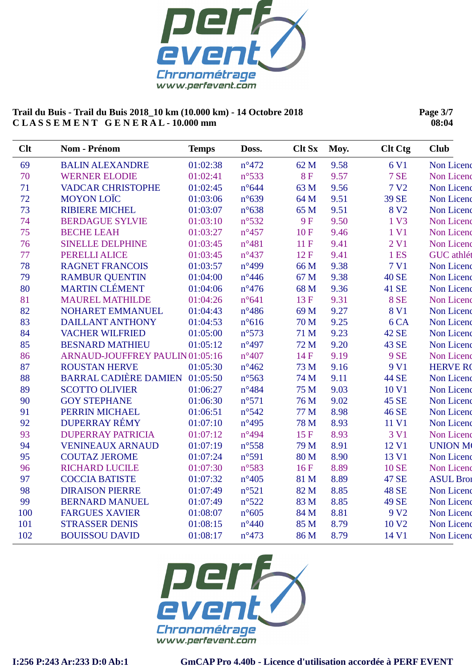

**Page 3/7 08:04**

| Clt | Nom - Prénom                          | <b>Temps</b> | Doss.           | <b>Clt Sx</b> | Moy. | <b>Clt Ctg</b>   | <b>Club</b>      |
|-----|---------------------------------------|--------------|-----------------|---------------|------|------------------|------------------|
| 69  | <b>BALIN ALEXANDRE</b>                | 01:02:38     | $n^{\circ}472$  | 62 M          | 9.58 | 6 V1             | Non Licenc       |
| 70  | <b>WERNER ELODIE</b>                  | 01:02:41     | $n^{\circ}533$  | <b>8F</b>     | 9.57 | <b>7 SE</b>      | Non Licend       |
| 71  | <b>VADCAR CHRISTOPHE</b>              | 01:02:45     | $n^{\circ}644$  | 63 M          | 9.56 | 7 V <sub>2</sub> | Non Licenc       |
| 72  | <b>MOYON LOÏC</b>                     | 01:03:06     | $n^{\circ}639$  | 64 M          | 9.51 | 39 SE            | Non Licenc       |
| 73  | <b>RIBIERE MICHEL</b>                 | 01:03:07     | $n^{\circ}638$  | 65 M          | 9.51 | 8 V <sub>2</sub> | Non Licenc       |
| 74  | <b>BERDAGUE SYLVIE</b>                | 01:03:10     | $n^{\circ}532$  | <b>9F</b>     | 9.50 | 1 V3             | Non Licenc       |
| 75  | <b>BECHE LEAH</b>                     | 01:03:27     | $n^{\circ}457$  | 10F           | 9.46 | 1 V1             | Non Licenc       |
| 76  | <b>SINELLE DELPHINE</b>               | 01:03:45     | $n^{\circ}481$  | 11F           | 9.41 | 2 <sub>VI</sub>  | Non Licenc       |
| 77  | PERELLI ALICE                         | 01:03:45     | $n^{\circ}437$  | 12F           | 9.41 | 1 ES             | GUC athlét       |
| 78  | <b>RAGNET FRANCOIS</b>                | 01:03:57     | $n^{\circ}499$  | 66 M          | 9.38 | 7 V1             | Non Licenc       |
| 79  | <b>RAMBUR QUENTIN</b>                 | 01:04:00     | $n^{\circ}446$  | 67 M          | 9.38 | <b>40 SE</b>     | Non Licenc       |
| 80  | <b>MARTIN CLÉMENT</b>                 | 01:04:06     | $n^{\circ}476$  | 68 M          | 9.36 | 41 SE            | Non Licenc       |
| 81  | <b>MAUREL MATHILDE</b>                | 01:04:26     | $n^{\circ}641$  | 13F           | 9.31 | <b>8 SE</b>      | Non Licenc       |
| 82  | NOHARET EMMANUEL                      | 01:04:43     | $n^{\circ}486$  | 69 M          | 9.27 | 8 V1             | Non Licenc       |
| 83  | <b>DAILLANT ANTHONY</b>               | 01:04:53     | $n^{\circ}616$  | 70 M          | 9.25 | 6 <sub>CA</sub>  | Non Licenc       |
| 84  | <b>VACHER WILFRIED</b>                | 01:05:00     | $n^{\circ}573$  | 71 M          | 9.23 | 42 SE            | Non Licenc       |
| 85  | <b>BESNARD MATHIEU</b>                | 01:05:12     | $n^{\circ}497$  | 72 M          | 9.20 | 43 SE            | Non Licenc       |
| 86  | ARNAUD-JOUFFREY PAULIN 01:05:16       |              | $n^{\circ}407$  | 14 F          | 9.19 | <b>9 SE</b>      | Non Licenc       |
| 87  | <b>ROUSTAN HERVE</b>                  | 01:05:30     | $n^{\circ}462$  | 73 M          | 9.16 | 9 V1             | <b>HERVE RO</b>  |
| 88  | <b>BARRAL CADIÈRE DAMIEN 01:05:50</b> |              | $n^{\circ}$ 563 | 74 M          | 9.11 | <b>44 SE</b>     | Non Licenc       |
| 89  | <b>SCOTTO OLIVIER</b>                 | 01:06:27     | $n^{\circ}484$  | 75 M          | 9.03 | 10 V1            | Non Licenc       |
| 90  | <b>GOY STEPHANE</b>                   | 01:06:30     | $n^{\circ}571$  | 76 M          | 9.02 | 45 SE            | Non Licenc       |
| 91  | PERRIN MICHAEL                        | 01:06:51     | $n^{\circ}542$  | 77 M          | 8.98 | 46 SE            | Non Licenc       |
| 92  | <b>DUPERRAY RÉMY</b>                  | 01:07:10     | $n^{\circ}495$  | 78 M          | 8.93 | 11 V1            | Non Licenc       |
| 93  | <b>DUPERRAY PATRICIA</b>              | 01:07:12     | $n^{\circ}494$  | 15F           | 8.93 | 3 V1             | Non Licenc       |
| 94  | <b>VENINEAUX ARNAUD</b>               | 01:07:19     | $n^{\circ}$ 558 | 79 M          | 8.91 | 12 V1            | <b>UNION M</b>   |
| 95  | <b>COUTAZ JEROME</b>                  | 01:07:24     | n°591           | 80 M          | 8.90 | 13 V1            | Non Licenc       |
| 96  | <b>RICHARD LUCILE</b>                 | 01:07:30     | $n^{\circ}583$  | 16F           | 8.89 | <b>10 SE</b>     | Non Licenc       |
| 97  | <b>COCCIA BATISTE</b>                 | 01:07:32     | $n^{\circ}405$  | 81 M          | 8.89 | 47 SE            | <b>ASUL Bron</b> |
| 98  | <b>DIRAISON PIERRE</b>                | 01:07:49     | $n^{\circ}521$  | 82 M          | 8.85 | <b>48 SE</b>     | Non Licenc       |
| 99  | <b>BERNARD MANUEL</b>                 | 01:07:49     | $n^{\circ}522$  | 83 M          | 8.85 | 49 SE            | Non Licenc       |
| 100 | <b>FARGUES XAVIER</b>                 | 01:08:07     | $n^{\circ}605$  | 84 M          | 8.81 | 9 V <sub>2</sub> | Non Licenc       |
| 101 | <b>STRASSER DENIS</b>                 | 01:08:15     | $n^{\circ}440$  | 85 M          | 8.79 | 10 <sub>V2</sub> | Non Licenc       |
| 102 | <b>BOUISSOU DAVID</b>                 | 01:08:17     | $n^{\circ}473$  | 86 M          | 8.79 | 14 V1            | Non Licenc       |

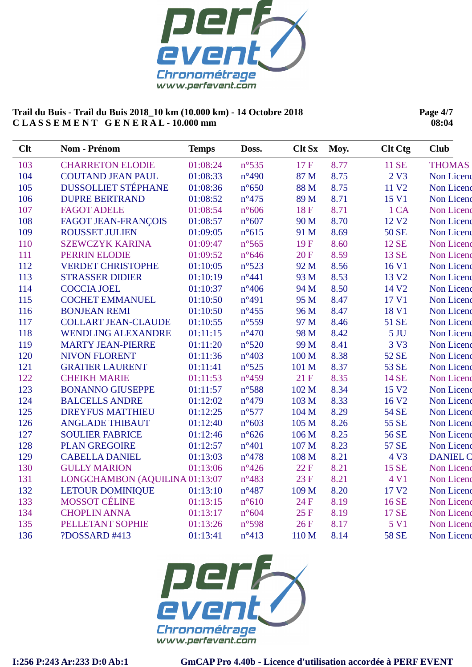

**Page 4/7 08:04**

| <b>Clt</b> | Nom - Prénom                   | <b>Temps</b> | Doss.           | <b>Clt Sx</b> | Moy. | <b>Clt Ctg</b>    | <b>Club</b>     |
|------------|--------------------------------|--------------|-----------------|---------------|------|-------------------|-----------------|
| 103        | <b>CHARRETON ELODIE</b>        | 01:08:24     | $n^{\circ}$ 535 | 17F           | 8.77 | 11 SE             | <b>THOMAS</b>   |
| 104        | <b>COUTAND JEAN PAUL</b>       | 01:08:33     | $n^{\circ}490$  | 87 M          | 8.75 | 2 V3              | Non Licenc      |
| 105        | <b>DUSSOLLIET STÉPHANE</b>     | 01:08:36     | $n^{\circ}650$  | 88 M          | 8.75 | 11 V <sub>2</sub> | Non Licenc      |
| 106        | <b>DUPRE BERTRAND</b>          | 01:08:52     | $n^{\circ}475$  | 89 M          | 8.71 | 15 V1             | Non Licenc      |
| 107        | <b>FAGOT ADELE</b>             | 01:08:54     | $n^{\circ}606$  | <b>18F</b>    | 8.71 | 1 CA              | Non Licenc      |
| 108        | <b>FAGOT JEAN-FRANÇOIS</b>     | 01:08:57     | $n^{\circ}607$  | 90 M          | 8.70 | 12 V <sub>2</sub> | Non Licenc      |
| 109        | <b>ROUSSET JULIEN</b>          | 01:09:05     | $n^{\circ}615$  | 91 M          | 8.69 | <b>50 SE</b>      | Non Licenc      |
| 110        | <b>SZEWCZYK KARINA</b>         | 01:09:47     | $n^{\circ}$ 565 | 19F           | 8.60 | 12 SE             | Non Licenc      |
| 111        | PERRIN ELODIE                  | 01:09:52     | $n^{\circ}646$  | 20F           | 8.59 | 13 SE             | Non Licenc      |
| 112        | <b>VERDET CHRISTOPHE</b>       | 01:10:05     | $n^{\circ}523$  | 92 M          | 8.56 | 16 V1             | Non Licenc      |
| 113        | <b>STRASSER DIDIER</b>         | 01:10:19     | $n^{\circ}441$  | 93 M          | 8.53 | 13 V <sub>2</sub> | Non Licenc      |
| 114        | <b>COCCIA JOEL</b>             | 01:10:37     | $n^{\circ}406$  | 94 M          | 8.50 | 14 V <sub>2</sub> | Non Licenc      |
| 115        | <b>COCHET EMMANUEL</b>         | 01:10:50     | $n^{\circ}491$  | 95 M          | 8.47 | 17 V1             | Non Licenc      |
| 116        | <b>BONJEAN REMI</b>            | 01:10:50     | $n^{\circ}455$  | 96 M          | 8.47 | 18 V1             | Non Licenc      |
| 117        | <b>COLLART JEAN-CLAUDE</b>     | 01:10:55     | $n^{\circ}559$  | 97 M          | 8.46 | 51 SE             | Non Licenc      |
| 118        | <b>WENDLING ALEXANDRE</b>      | 01:11:15     | $n^{\circ}470$  | 98 M          | 8.42 | 5 <sub>JU</sub>   | Non Licenc      |
| 119        | <b>MARTY JEAN-PIERRE</b>       | 01:11:20     | $n^{\circ}520$  | 99 M          | 8.41 | 3 V3              | Non Licenc      |
| 120        | <b>NIVON FLORENT</b>           | 01:11:36     | $n^{\circ}403$  | 100 M         | 8.38 | 52 SE             | Non Licenc      |
| 121        | <b>GRATIER LAURENT</b>         | 01:11:41     | $n^{\circ}525$  | 101 M         | 8.37 | 53 SE             | Non Licenc      |
| 122        | <b>CHEIKH MARIE</b>            | 01:11:53     | $n^{\circ}459$  | 21F           | 8.35 | 14 SE             | Non Licenc      |
| 123        | <b>BONANNO GIUSEPPE</b>        | 01:11:57     | $n^{\circ}588$  | 102 M         | 8.34 | 15 V <sub>2</sub> | Non Licenc      |
| 124        | <b>BALCELLS ANDRE</b>          | 01:12:02     | $n^{\circ}479$  | 103 M         | 8.33 | 16 V <sub>2</sub> | Non Licenc      |
| 125        | <b>DREYFUS MATTHIEU</b>        | 01:12:25     | $n^{\circ}577$  | 104 M         | 8.29 | <b>54 SE</b>      | Non Licenc      |
| 126        | <b>ANGLADE THIBAUT</b>         | 01:12:40     | $n^{\circ}603$  | 105 M         | 8.26 | 55 SE             | Non Licenc      |
| 127        | <b>SOULIER FABRICE</b>         | 01:12:46     | $n^{\circ}626$  | 106 M         | 8.25 | 56 SE             | Non Licenc      |
| 128        | <b>PLAN GREGOIRE</b>           | 01:12:57     | $n^{\circ}401$  | 107 M         | 8.23 | <b>57 SE</b>      | Non Licenc      |
| 129        | <b>CABELLA DANIEL</b>          | 01:13:03     | $n^{\circ}478$  | 108 M         | 8.21 | 4 V3              | <b>DANIEL C</b> |
| 130        | <b>GULLY MARION</b>            | 01:13:06     | $n^{\circ}426$  | 22F           | 8.21 | 15 SE             | Non Licenc      |
| 131        | LONGCHAMBON (AQUILINA 01:13:07 |              | $n^{\circ}483$  | 23F           | 8.21 | 4 V1              | Non Licenc      |
| 132        | <b>LETOUR DOMINIQUE</b>        | 01:13:10     | $n^{\circ}487$  | 109 M         | 8.20 | 17 V <sub>2</sub> | Non Licenc      |
| 133        | <b>MOSSOT CÉLINE</b>           | 01:13:15     | $n^{\circ}610$  | 24 F          | 8.19 | 16 SE             | Non Licenc      |
| 134        | <b>CHOPLIN ANNA</b>            | 01:13:17     | $n^{\circ}604$  | 25F           | 8.19 | 17 SE             | Non Licenc      |
| 135        | PELLETANT SOPHIE               | 01:13:26     | n°598           | 26F           | 8.17 | 5 V1              | Non Licenc      |
| 136        | ?DOSSARD #413                  | 01:13:41     | $n^{\circ}413$  | 110 M         | 8.14 | <b>58 SE</b>      | Non Licenc      |

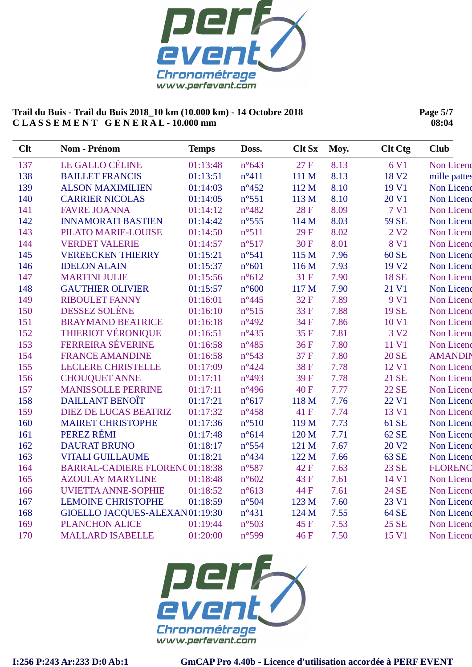

**Page 5/7 08:04**

| <b>Clt</b> | <b>Nom - Prénom</b>                   | <b>Temps</b> | Doss.           | <b>Clt Sx</b> | Moy. | <b>Clt Ctg</b>    | <b>Club</b>       |
|------------|---------------------------------------|--------------|-----------------|---------------|------|-------------------|-------------------|
| 137        | LE GALLO CÉLINE                       | 01:13:48     | $n^{\circ}643$  | 27 F          | 8.13 | 6 V1              | Non Licenc        |
| 138        | <b>BAILLET FRANCIS</b>                | 01:13:51     | $n^{\circ}411$  | 111 M         | 8.13 | 18 V <sub>2</sub> | mille pattes      |
| 139        | <b>ALSON MAXIMILIEN</b>               | 01:14:03     | $n^{\circ}452$  | 112 M         | 8.10 | 19 V1             | Non Licenc        |
| 140        | <b>CARRIER NICOLAS</b>                | 01:14:05     | $n^{\circ}551$  | 113 M         | 8.10 | 20 V1             | Non Licenc        |
| 141        | <b>FAVRE JOANNA</b>                   | 01:14:12     | $n^{\circ}482$  | <b>28F</b>    | 8.09 | 7 V1              | Non Licenc        |
| 142        | <b>INNAMORATI BASTIEN</b>             | 01:14:42     | $n^{\circ}$ 555 | 114 M         | 8.03 | <b>59 SE</b>      | <b>Non Licenc</b> |
| 143        | PILATO MARIE-LOUISE                   | 01:14:50     | $n^{\circ}511$  | 29F           | 8.02 | 2 V <sub>2</sub>  | Non Licenc        |
| 144        | <b>VERDET VALERIE</b>                 | 01:14:57     | n°517           | 30F           | 8.01 | 8 V1              | Non Licenc        |
| 145        | <b>VEREECKEN THIERRY</b>              | 01:15:21     | $n^{\circ}541$  | 115 M         | 7.96 | 60 SE             | Non Licenc        |
| 146        | <b>IDELON ALAIN</b>                   | 01:15:37     | $n^{\circ}601$  | 116 M         | 7.93 | 19 V <sub>2</sub> | Non Licenc        |
| 147        | <b>MARTINI JULIE</b>                  | 01:15:56     | $n^{\circ}612$  | 31 F          | 7.90 | <b>18 SE</b>      | Non Licenc        |
| 148        | <b>GAUTHIER OLIVIER</b>               | 01:15:57     | $n^{\circ}600$  | 117 M         | 7.90 | 21 V1             | Non Licenc        |
| 149        | <b>RIBOULET FANNY</b>                 | 01:16:01     | $n^{\circ}445$  | 32F           | 7.89 | 9 V1              | Non Licenc        |
| 150        | DESSEZ SOLÈNE                         | 01:16:10     | n°515           | 33 F          | 7.88 | 19 SE             | Non Licenc        |
| 151        | <b>BRAYMAND BEATRICE</b>              | 01:16:18     | $n^{\circ}492$  | 34 F          | 7.86 | 10 V1             | Non Licenc        |
| 152        | <b>THIERIOT VÉRONIQUE</b>             | 01:16:51     | $n^{\circ}435$  | 35 F          | 7.81 | 3 V <sub>2</sub>  | Non Licenc        |
| 153        | FERREIRA SÉVERINE                     | 01:16:58     | $n^{\circ}485$  | 36F           | 7.80 | 11 V1             | Non Licenc        |
| 154        | <b>FRANCE AMANDINE</b>                | 01:16:58     | $n^{\circ}543$  | 37F           | 7.80 | <b>20 SE</b>      | <b>AMANDIN</b>    |
| 155        | <b>LECLERE CHRISTELLE</b>             | 01:17:09     | $n^{\circ}424$  | 38F           | 7.78 | 12 V1             | Non Licenc        |
| 156        | <b>CHOUQUET ANNE</b>                  | 01:17:11     | $n^{\circ}493$  | 39F           | 7.78 | 21 SE             | Non Licenc        |
| 157        | <b>MANISSOLLE PERRINE</b>             | 01:17:11     | $n^{\circ}496$  | 40F           | 7.77 | 22 SE             | Non Licenc        |
| 158        | <b>DAILLANT BENOIT</b>                | 01:17:21     | $n^{\circ}617$  | 118 M         | 7.76 | 22 V1             | Non Licenc        |
| 159        | <b>DIEZ DE LUCAS BEATRIZ</b>          | 01:17:32     | $n^{\circ}458$  | 41 F          | 7.74 | 13 V1             | Non Licenc        |
| 160        | <b>MAIRET CHRISTOPHE</b>              | 01:17:36     | $n^{\circ}510$  | 119 M         | 7.73 | 61 SE             | Non Licenc        |
| 161        | PEREZ RÉMI                            | 01:17:48     | $n^{\circ}614$  | 120 M         | 7.71 | 62 SE             | Non Licenc        |
| 162        | <b>DAURAT BRUNO</b>                   | 01:18:17     | $n^{\circ}$ 554 | 121 M         | 7.67 | 20 V <sub>2</sub> | Non Licenc        |
| 163        | <b>VITALI GUILLAUME</b>               | 01:18:21     | $n^{\circ}434$  | 122 M         | 7.66 | 63 SE             | Non Licenc        |
| 164        | <b>BARRAL-CADIERE FLORENC01:18:38</b> |              | n°587           | 42F           | 7.63 | 23 SE             | <b>FLORENC</b>    |
| 165        | <b>AZOULAY MARYLINE</b>               | 01:18:48     | $n^{\circ}602$  | 43 F          | 7.61 | 14 V1             | Non Licenc        |
| 166        | <b>UVIETTA ANNE-SOPHIE</b>            | 01:18:52     | $n^{\circ}613$  | 44 F          | 7.61 | 24 SE             | Non Licenc        |
| 167        | <b>LEMOINE CHRISTOPHE</b>             | 01:18:59     | $n^{\circ}504$  | 123 M         | 7.60 | 23 V1             | Non Licenc        |
| 168        | GIOELLO JACQUES-ALEXAN01:19:30        |              | $n^{\circ}431$  | 124 M         | 7.55 | 64 SE             | Non Licenc        |
| 169        | <b>PLANCHON ALICE</b>                 | 01:19:44     | n°503           | 45 F          | 7.53 | 25 SE             | Non Licenc        |
| 170        | <b>MALLARD ISABELLE</b>               | 01:20:00     | n°599           | 46 F          | 7.50 | 15 V1             | Non Licenc        |

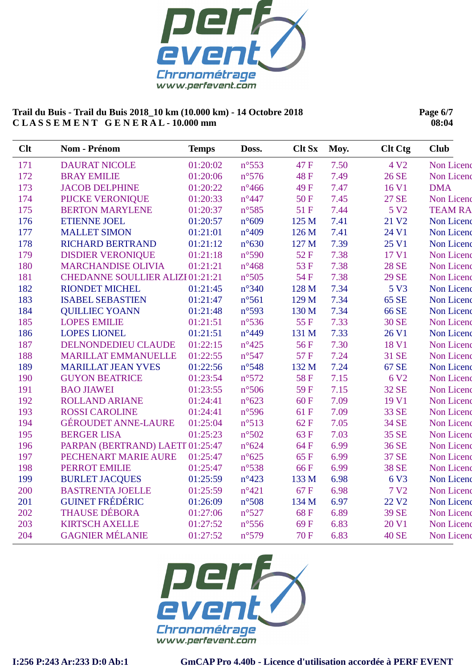

**Page 6/7 08:04**

| Clt | Nom - Prénom                     | <b>Temps</b> | Doss.           | <b>Clt Sx</b> | Moy. | <b>Clt Ctg</b>    | <b>Club</b>    |
|-----|----------------------------------|--------------|-----------------|---------------|------|-------------------|----------------|
| 171 | <b>DAURAT NICOLE</b>             | 01:20:02     | $n^{\circ}$ 553 | 47 F          | 7.50 | 4 V <sub>2</sub>  | Non Licenc     |
| 172 | <b>BRAY EMILIE</b>               | 01:20:06     | $n^{\circ}576$  | 48F           | 7.49 | 26 SE             | Non Licenc     |
| 173 | <b>JACOB DELPHINE</b>            | 01:20:22     | $n^{\circ}466$  | 49 F          | 7.47 | 16 V1             | <b>DMA</b>     |
| 174 | PIJCKE VERONIQUE                 | 01:20:33     | $n^{\circ}447$  | 50F           | 7.45 | <b>27 SE</b>      | Non Licenc     |
| 175 | <b>BERTON MARYLENE</b>           | 01:20:37     | $n^{\circ}585$  | 51F           | 7.44 | 5 V <sub>2</sub>  | <b>TEAM RA</b> |
| 176 | <b>ETIENNE JOEL</b>              | 01:20:57     | $n^{\circ}609$  | 125 M         | 7.41 | 21 V <sub>2</sub> | Non Licenc     |
| 177 | <b>MALLET SIMON</b>              | 01:21:01     | $n^{\circ}409$  | 126 M         | 7.41 | 24 V1             | Non Licenc     |
| 178 | <b>RICHARD BERTRAND</b>          | 01:21:12     | $n^{\circ}630$  | 127 M         | 7.39 | 25 V1             | Non Licenc     |
| 179 | <b>DISDIER VERONIQUE</b>         | 01:21:18     | n°590           | 52F           | 7.38 | 17 V1             | Non Licenc     |
| 180 | <b>MARCHANDISE OLIVIA</b>        | 01:21:21     | $n^{\circ}468$  | 53 F          | 7.38 | <b>28 SE</b>      | Non Licenc     |
| 181 | CHEDANNE SOULLIER ALIZI 01:21:21 |              | $n^{\circ}505$  | 54 F          | 7.38 | <b>29 SE</b>      | Non Licenc     |
| 182 | <b>RIONDET MICHEL</b>            | 01:21:45     | $n^{\circ}340$  | 128 M         | 7.34 | 5 V3              | Non Licenc     |
| 183 | <b>ISABEL SEBASTIEN</b>          | 01:21:47     | $n^{\circ}561$  | 129 M         | 7.34 | 65 SE             | Non Licenc     |
| 184 | <b>QUILLIEC YOANN</b>            | 01:21:48     | n°593           | 130 M         | 7.34 | 66 SE             | Non Licenc     |
| 185 | <b>LOPES EMILIE</b>              | 01:21:51     | $n^{\circ}$ 536 | 55F           | 7.33 | <b>30 SE</b>      | Non Licenc     |
| 186 | <b>LOPES LIONEL</b>              | 01:21:51     | $n^{\circ}449$  | 131 M         | 7.33 | 26 V1             | Non Licenc     |
| 187 | DELNONDEDIEU CLAUDE              | 01:22:15     | $n^{\circ}425$  | 56F           | 7.30 | 18 V1             | Non Licenc     |
| 188 | <b>MARILLAT EMMANUELLE</b>       | 01:22:55     | n°547           | 57F           | 7.24 | 31 SE             | Non Licenc     |
| 189 | <b>MARILLAT JEAN YVES</b>        | 01:22:56     | $n^{\circ}548$  | 132 M         | 7.24 | 67 SE             | Non Licenc     |
| 190 | <b>GUYON BEATRICE</b>            | 01:23:54     | n°572           | 58F           | 7.15 | 6 V <sub>2</sub>  | Non Licenc     |
| 191 | <b>BAO JIAWEI</b>                | 01:23:55     | $n^{\circ}506$  | 59F           | 7.15 | 32 SE             | Non Licenc     |
| 192 | <b>ROLLAND ARIANE</b>            | 01:24:41     | $n^{\circ}623$  | 60F           | 7.09 | 19 V1             | Non Licenc     |
| 193 | <b>ROSSI CAROLINE</b>            | 01:24:41     | $n^{\circ}$ 596 | 61 F          | 7.09 | 33 SE             | Non Licenc     |
| 194 | <b>GÉROUDET ANNE-LAURE</b>       | 01:25:04     | n°513           | 62F           | 7.05 | 34 SE             | Non Licenc     |
| 195 | <b>BERGER LISA</b>               | 01:25:23     | $n^{\circ}502$  | 63F           | 7.03 | 35 SE             | Non Licenc     |
| 196 | PARPAN (BERTRAND) LAETI 01:25:47 |              | $n^{\circ}624$  | 64 F          | 6.99 | 36 SE             | Non Licenc     |
| 197 | PECHENART MARIE AURE             | 01:25:47     | $n^{\circ}625$  | 65F           | 6.99 | 37 SE             | Non Licenc     |
| 198 | <b>PERROT EMILIE</b>             | 01:25:47     | n°538           | 66F           | 6.99 | <b>38 SE</b>      | Non Licenc     |
| 199 | <b>BURLET JACQUES</b>            | 01:25:59     | $n^{\circ}423$  | 133 M         | 6.98 | 6 V3              | Non Licenc     |
| 200 | <b>BASTRENTA JOELLE</b>          | 01:25:59     | $n^{\circ}421$  | 67 F          | 6.98 | 7 V <sub>2</sub>  | Non Licenc     |
| 201 | <b>GUINET FRÉDÉRIC</b>           | 01:26:09     | $n^{\circ}508$  | 134 M         | 6.97 | 22 V <sub>2</sub> | Non Licenc     |
| 202 | <b>THAUSE DÉBORA</b>             | 01:27:06     | $n^{\circ}527$  | 68F           | 6.89 | 39 SE             | Non Licenc     |
| 203 | <b>KIRTSCH AXELLE</b>            | 01:27:52     | $n^{\circ}$ 556 | 69F           | 6.83 | 20 V1             | Non Licenc     |
| 204 | <b>GAGNIER MÉLANIE</b>           | 01:27:52     | n°579           | 70F           | 6.83 | <b>40 SE</b>      | Non Licenc     |